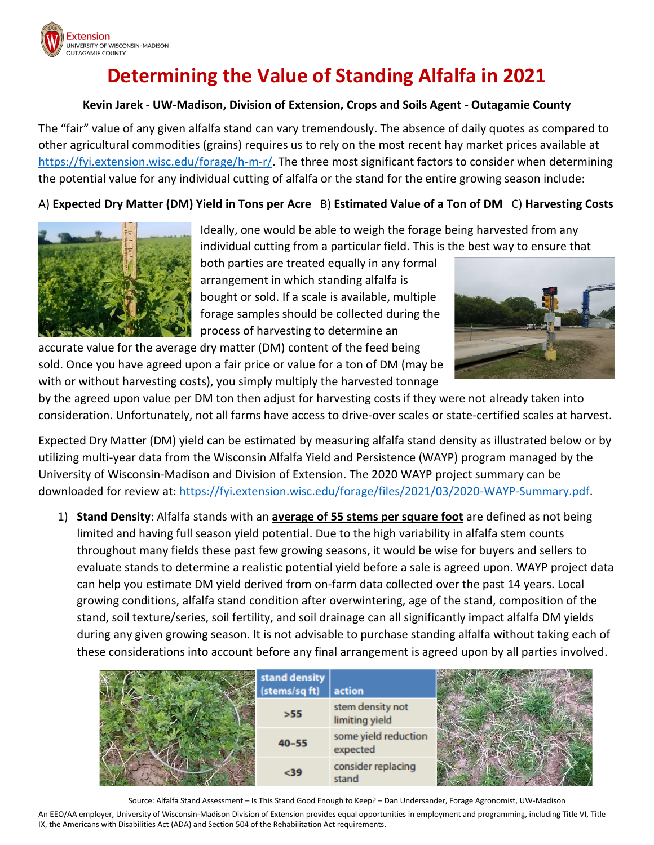

# **Determining the Value of Standing Alfalfa in 2021**

#### **Kevin Jarek - UW-Madison, Division of Extension, Crops and Soils Agent - Outagamie County**

The "fair" value of any given alfalfa stand can vary tremendously. The absence of daily quotes as compared to other agricultural commodities (grains) requires us to rely on the most recent hay market prices available at [https://fyi.extension.wisc.edu/forage/h-m-r/.](https://fyi.extension.wisc.edu/forage/h-m-r/) The three most significant factors to consider when determining the potential value for any individual cutting of alfalfa or the stand for the entire growing season include:

### A) **Expected Dry Matter (DM) Yield in Tons per Acre** B) **Estimated Value of a Ton of DM** C) **Harvesting Costs**



Ideally, one would be able to weigh the forage being harvested from any individual cutting from a particular field. This is the best way to ensure that

both parties are treated equally in any formal arrangement in which standing alfalfa is bought or sold. If a scale is available, multiple forage samples should be collected during the process of harvesting to determine an

accurate value for the average dry matter (DM) content of the feed being sold. Once you have agreed upon a fair price or value for a ton of DM (may be with or without harvesting costs), you simply multiply the harvested tonnage



by the agreed upon value per DM ton then adjust for harvesting costs if they were not already taken into consideration. Unfortunately, not all farms have access to drive-over scales or state-certified scales at harvest.

Expected Dry Matter (DM) yield can be estimated by measuring alfalfa stand density as illustrated below or by utilizing multi-year data from the Wisconsin Alfalfa Yield and Persistence (WAYP) program managed by the University of Wisconsin-Madison and Division of Extension. The 2020 WAYP project summary can be downloaded for review at: [https://fyi.extension.wisc.edu/forage/files/2021/03/2020-WAYP-Summary.pdf.](https://fyi.extension.wisc.edu/forage/files/2021/03/2020-WAYP-Summary.pdf)

1) **Stand Density**: Alfalfa stands with an **average of 55 stems per square foot** are defined as not being limited and having full season yield potential. Due to the high variability in alfalfa stem counts throughout many fields these past few growing seasons, it would be wise for buyers and sellers to evaluate stands to determine a realistic potential yield before a sale is agreed upon. WAYP project data can help you estimate DM yield derived from on-farm data collected over the past 14 years. Local growing conditions, alfalfa stand condition after overwintering, age of the stand, composition of the stand, soil texture/series, soil fertility, and soil drainage can all significantly impact alfalfa DM yields during any given growing season. It is not advisable to purchase standing alfalfa without taking each of these considerations into account before any final arrangement is agreed upon by all parties involved.

| stand density<br>(stems/sq ft) | action                             |  |
|--------------------------------|------------------------------------|--|
| >55                            | stem density not<br>limiting yield |  |
| $40 - 55$                      | some yield reduction<br>expected   |  |
| $39$                           | consider replacing<br>stand        |  |

Source: Alfalfa Stand Assessment – Is This Stand Good Enough to Keep? – Dan Undersander, Forage Agronomist, UW-Madison

An EEO/AA employer, University of Wisconsin-Madison Division of Extension provides equal opportunities in employment and programming, including Title VI, Title IX, the Americans with Disabilities Act (ADA) and Section 504 of the Rehabilitation Act requirements.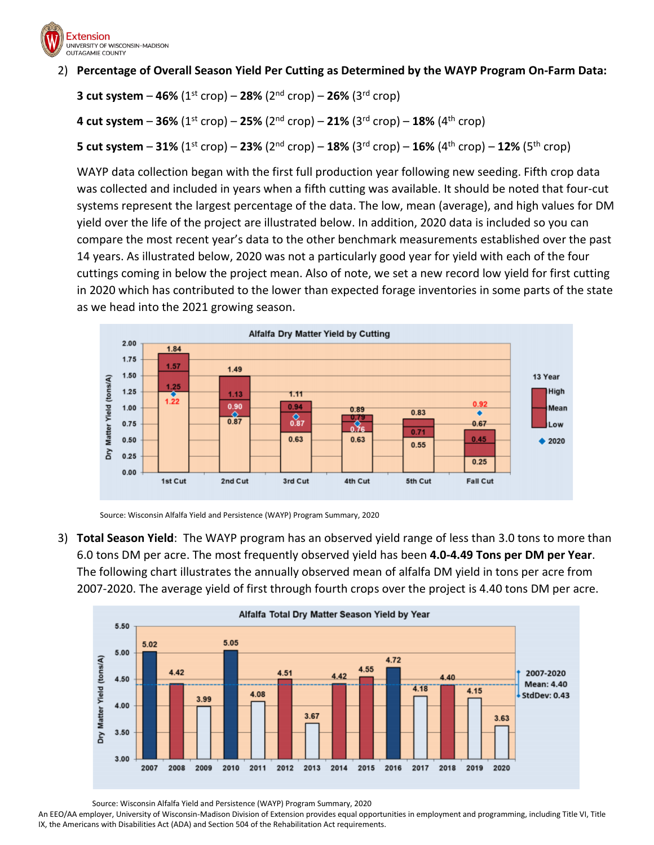

#### 2) **Percentage of Overall Season Yield Per Cutting as Determined by the WAYP Program On-Farm Data:**

**3 cut system –**  $46\%$  **(1<sup>st</sup> crop) –**  $28\%$  **(2<sup>nd</sup> crop) –**  $26\%$  **(3<sup>rd</sup> crop)** 

**4 cut system** – **36%** (1st crop) – **25%** (2nd crop) – **21%** (3rd crop) – **18%** (4th crop)

**5 cut system** – **31%** (1st crop) – **23%** (2nd crop) – **18%** (3rd crop) – **16%** (4th crop) – **12%** (5th crop)

WAYP data collection began with the first full production year following new seeding. Fifth crop data was collected and included in years when a fifth cutting was available. It should be noted that four-cut systems represent the largest percentage of the data. The low, mean (average), and high values for DM yield over the life of the project are illustrated below. In addition, 2020 data is included so you can compare the most recent year's data to the other benchmark measurements established over the past 14 years. As illustrated below, 2020 was not a particularly good year for yield with each of the four cuttings coming in below the project mean. Also of note, we set a new record low yield for first cutting in 2020 which has contributed to the lower than expected forage inventories in some parts of the state as we head into the 2021 growing season.





3) **Total Season Yield**: The WAYP program has an observed yield range of less than 3.0 tons to more than 6.0 tons DM per acre. The most frequently observed yield has been **4.0-4.49 Tons per DM per Year**. The following chart illustrates the annually observed mean of alfalfa DM yield in tons per acre from 2007-2020. The average yield of first through fourth crops over the project is 4.40 tons DM per acre.



Source: Wisconsin Alfalfa Yield and Persistence (WAYP) Program Summary, 2020

An EEO/AA employer, University of Wisconsin-Madison Division of Extension provides equal opportunities in employment and programming, including Title VI, Title IX, the Americans with Disabilities Act (ADA) and Section 504 of the Rehabilitation Act requirements.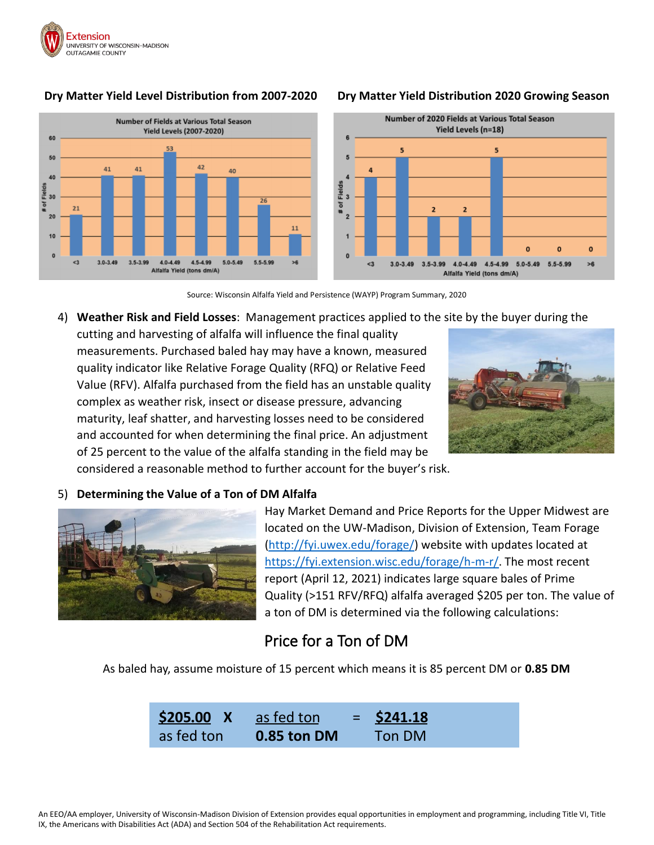

#### **Dry Matter Yield Level Distribution from 2007-2020 Dry Matter Yield Distribution 2020 Growing Season**





Source: Wisconsin Alfalfa Yield and Persistence (WAYP) Program Summary, 2020

#### 4) **Weather Risk and Field Losses**: Management practices applied to the site by the buyer during the

cutting and harvesting of alfalfa will influence the final quality measurements. Purchased baled hay may have a known, measured quality indicator like Relative Forage Quality (RFQ) or Relative Feed Value (RFV). Alfalfa purchased from the field has an unstable quality complex as weather risk, insect or disease pressure, advancing maturity, leaf shatter, and harvesting losses need to be considered and accounted for when determining the final price. An adjustment of 25 percent to the value of the alfalfa standing in the field may be considered a reasonable method to further account for the buyer's risk.



#### 5) **Determining the Value of a Ton of DM Alfalfa**



Hay Market Demand and Price Reports for the Upper Midwest are located on the UW-Madison, Division of Extension, Team Forage [\(http://fyi.uwex.edu/forage/\)](http://fyi.uwex.edu/forage/) website with updates located at [https://fyi.extension.wisc.edu/forage/h-m-r/.](https://fyi.extension.wisc.edu/forage/h-m-r/) The most recent report (April 12, 2021) indicates large square bales of Prime Quality (>151 RFV/RFQ) alfalfa averaged \$205 per ton. The value of a ton of DM is determined via the following calculations:

## Price for a Ton of DM

As baled hay, assume moisture of 15 percent which means it is 85 percent DM or **0.85 DM**

**\$205.00 X** as fed ton = **\$241.18** as fed ton **0.85 ton DM** Ton DM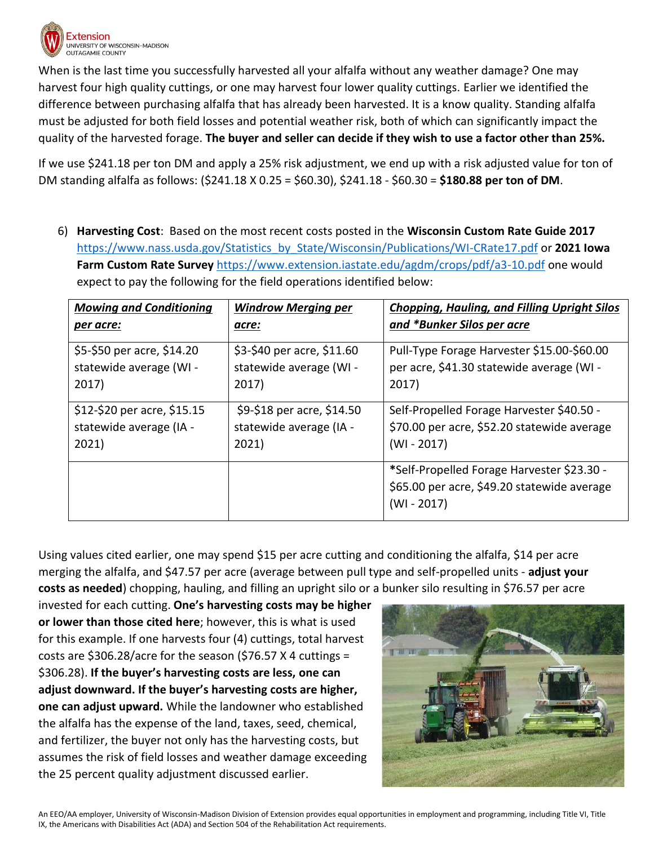

When is the last time you successfully harvested all your alfalfa without any weather damage? One may harvest four high quality cuttings, or one may harvest four lower quality cuttings. Earlier we identified the difference between purchasing alfalfa that has already been harvested. It is a know quality. Standing alfalfa must be adjusted for both field losses and potential weather risk, both of which can significantly impact the quality of the harvested forage. **The buyer and seller can decide if they wish to use a factor other than 25%.**

If we use \$241.18 per ton DM and apply a 25% risk adjustment, we end up with a risk adjusted value for ton of DM standing alfalfa as follows: (\$241.18 X 0.25 = \$60.30), \$241.18 - \$60.30 = **\$180.88 per ton of DM**.

6) **Harvesting Cost**: Based on the most recent costs posted in the **Wisconsin Custom Rate Guide 2017** [https://www.nass.usda.gov/Statistics\\_by\\_State/Wisconsin/Publications/WI-CRate17.pdf](https://www.nass.usda.gov/Statistics_by_State/Wisconsin/Publications/WI-CRate17.pdf) or **2021 Iowa Farm Custom Rate Survey** <https://www.extension.iastate.edu/agdm/crops/pdf/a3-10.pdf> one would expect to pay the following for the field operations identified below:

| <b>Mowing and Conditioning</b>                                  | <b>Windrow Merging per</b>                                     | <b>Chopping, Hauling, and Filling Upright Silos</b>                                                        |
|-----------------------------------------------------------------|----------------------------------------------------------------|------------------------------------------------------------------------------------------------------------|
| per acre:                                                       | acre:                                                          | and *Bunker Silos per acre                                                                                 |
| \$5-\$50 per acre, \$14.20<br>statewide average (WI -<br>2017)  | \$3-\$40 per acre, \$11.60<br>statewide average (WI -<br>2017) | Pull-Type Forage Harvester \$15.00-\$60.00<br>per acre, \$41.30 statewide average (WI -<br>2017)           |
| \$12-\$20 per acre, \$15.15<br>statewide average (IA -<br>2021) | \$9-\$18 per acre, \$14.50<br>statewide average (IA -<br>2021) | Self-Propelled Forage Harvester \$40.50 -<br>\$70.00 per acre, \$52.20 statewide average<br>$(WI - 2017)$  |
|                                                                 |                                                                | *Self-Propelled Forage Harvester \$23.30 -<br>\$65.00 per acre, \$49.20 statewide average<br>$(WI - 2017)$ |

Using values cited earlier, one may spend \$15 per acre cutting and conditioning the alfalfa, \$14 per acre merging the alfalfa, and \$47.57 per acre (average between pull type and self-propelled units - **adjust your costs as needed**) chopping, hauling, and filling an upright silo or a bunker silo resulting in \$76.57 per acre

invested for each cutting. **One's harvesting costs may be higher or lower than those cited here**; however, this is what is used for this example. If one harvests four (4) cuttings, total harvest costs are \$306.28/acre for the season (\$76.57 X 4 cuttings = \$306.28). **If the buyer's harvesting costs are less, one can adjust downward. If the buyer's harvesting costs are higher, one can adjust upward.** While the landowner who established the alfalfa has the expense of the land, taxes, seed, chemical, and fertilizer, the buyer not only has the harvesting costs, but assumes the risk of field losses and weather damage exceeding the 25 percent quality adjustment discussed earlier.